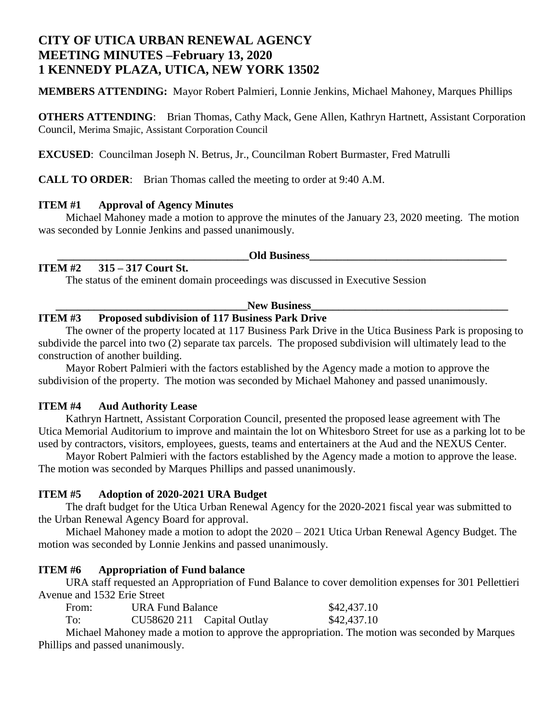# **CITY OF UTICA URBAN RENEWAL AGENCY MEETING MINUTES –February 13, 2020 1 KENNEDY PLAZA, UTICA, NEW YORK 13502**

**MEMBERS ATTENDING:** Mayor Robert Palmieri, Lonnie Jenkins, Michael Mahoney, Marques Phillips

**OTHERS ATTENDING:** Brian Thomas, Cathy Mack, Gene Allen, Kathryn Hartnett, Assistant Corporation Council, Merima Smajic, Assistant Corporation Council

**EXCUSED**: Councilman Joseph N. Betrus, Jr., Councilman Robert Burmaster, Fred Matrulli

**CALL TO ORDER**: Brian Thomas called the meeting to order at 9:40 A.M.

## **ITEM #1 Approval of Agency Minutes**

Michael Mahoney made a motion to approve the minutes of the January 23, 2020 meeting. The motion was seconded by Lonnie Jenkins and passed unanimously.

**Old Business** 

## **ITEM #2 315 – 317 Court St.**

The status of the eminent domain proceedings was discussed in Executive Session

#### New Business

### **ITEM #3 Proposed subdivision of 117 Business Park Drive**

The owner of the property located at 117 Business Park Drive in the Utica Business Park is proposing to subdivide the parcel into two (2) separate tax parcels. The proposed subdivision will ultimately lead to the construction of another building.

Mayor Robert Palmieri with the factors established by the Agency made a motion to approve the subdivision of the property. The motion was seconded by Michael Mahoney and passed unanimously.

## **ITEM #4 Aud Authority Lease**

Kathryn Hartnett, Assistant Corporation Council, presented the proposed lease agreement with The Utica Memorial Auditorium to improve and maintain the lot on Whitesboro Street for use as a parking lot to be used by contractors, visitors, employees, guests, teams and entertainers at the Aud and the NEXUS Center.

Mayor Robert Palmieri with the factors established by the Agency made a motion to approve the lease. The motion was seconded by Marques Phillips and passed unanimously.

## **ITEM #5 Adoption of 2020-2021 URA Budget**

The draft budget for the Utica Urban Renewal Agency for the 2020-2021 fiscal year was submitted to the Urban Renewal Agency Board for approval.

Michael Mahoney made a motion to adopt the 2020 – 2021 Utica Urban Renewal Agency Budget. The motion was seconded by Lonnie Jenkins and passed unanimously.

## **ITEM #6 Appropriation of Fund balance**

URA staff requested an Appropriation of Fund Balance to cover demolition expenses for 301 Pellettieri Avenue and 1532 Erie Street

| From: | <b>URA Fund Balance</b>    |  | \$42,437.10 |
|-------|----------------------------|--|-------------|
| To:   | CU58620 211 Capital Outlay |  | \$42,437.10 |

Michael Mahoney made a motion to approve the appropriation. The motion was seconded by Marques Phillips and passed unanimously.